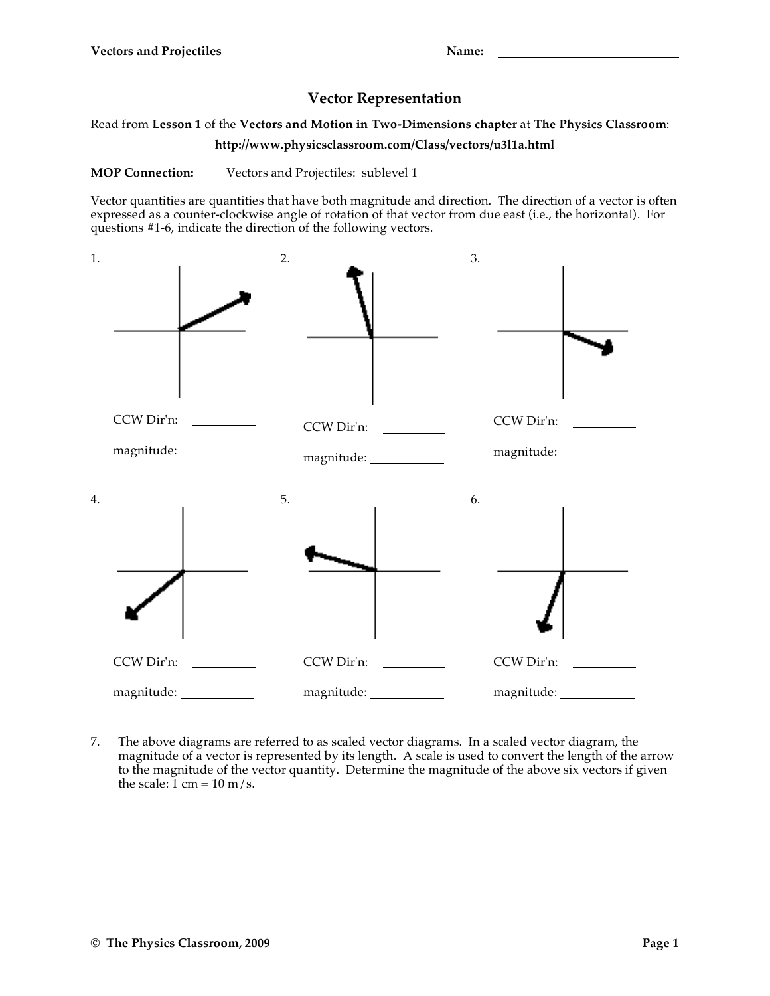## **Vector Representation**

Read from **Lesson 1** of the **Vectors and Motion in Two-Dimensions chapter** at **The Physics Classroom**:

**http://www.physicsclassroom.com/Class/vectors/u3l1a.html**

**MOP Connection:** Vectors and Projectiles: sublevel 1

Vector quantities are quantities that have both magnitude and direction. The direction of a vector is often expressed as a counter-clockwise angle of rotation of that vector from due east (i.e., the horizontal). For questions #1-6, indicate the direction of the following vectors.



7. The above diagrams are referred to as scaled vector diagrams. In a scaled vector diagram, the magnitude of a vector is represented by its length. A scale is used to convert the length of the arrow to the magnitude of the vector quantity. Determine the magnitude of the above six vectors if given the scale:  $1 \text{ cm} = 10 \text{ m/s}$ .